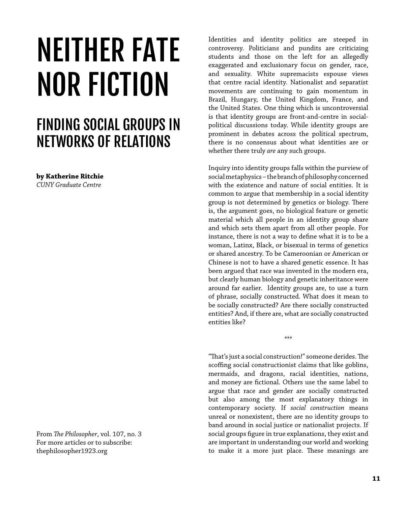## NEITHER FATE NOR FICTION

## FINDING SOCIAL GROUPS IN NETWORKS OF RELATIONS

**by Katherine Ritchie**

*CUNY Graduate Centre*

From *The Philosopher*, vol. 107, no. 3 For more articles or to subscribe: thephilosopher1923.org

Identities and identity politics are steeped in controversy. Politicians and pundits are criticizing students and those on the left for an allegedly exaggerated and exclusionary focus on gender, race, and sexuality. White supremacists espouse views that centre racial identity. Nationalist and separatist movements are continuing to gain momentum in Brazil, Hungary, the United Kingdom, France, and the United States. One thing which is uncontroversial is that identity groups are front-and-centre in socialpolitical discussions today. While identity groups are prominent in debates across the political spectrum, there is no consensus about what identities are or whether there truly *are* any such groups.

Inquiry into identity groups falls within the purview of social metaphysics – the branch of philosophy concerned with the existence and nature of social entities. It is common to argue that membership in a social identity group is not determined by genetics or biology. There is, the argument goes, no biological feature or genetic material which all people in an identity group share and which sets them apart from all other people. For instance, there is not a way to define what it is to be a woman, Latinx, Black, or bisexual in terms of genetics or shared ancestry. To be Cameroonian or American or Chinese is not to have a shared genetic essence. It has been argued that race was invented in the modern era, but clearly human biology and genetic inheritance were around far earlier. Identity groups are, to use a turn of phrase, socially constructed. What does it mean to be socially constructed? Are there socially constructed entities? And, if there are, what are socially constructed entities like?

\*\*\*

"That's just a social construction!" someone derides. The scoffing social constructionist claims that like goblins, mermaids, and dragons, racial identities, nations, and money are fictional. Others use the same label to argue that race and gender are socially constructed but also among the most explanatory things in contemporary society. If *social construction* means unreal or nonexistent, there are no identity groups to band around in social justice or nationalist projects. If social groups figure in true explanations, they exist and are important in understanding our world and working to make it a more just place. These meanings are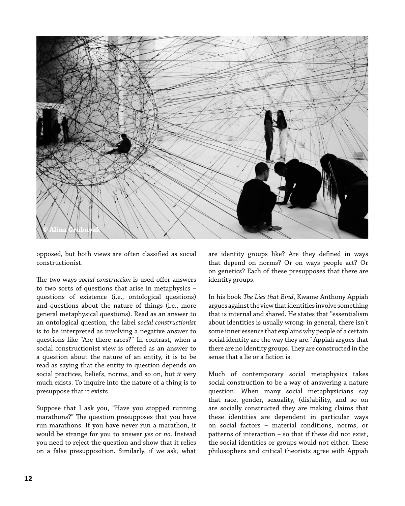

opposed, but both views are often classified as social constructionist.

The two ways *social construction* is used offer answers to two sorts of questions that arise in metaphysics – questions of existence (i.e., ontological questions) and questions about the nature of things (i.e., more general metaphysical questions). Read as an answer to an ontological question, the label *social constructionist*  is to be interpreted as involving a negative answer to questions like "Are there races?" In contrast, when a social constructionist view is offered as an answer to a question about the nature of an entity, it is to be read as saying that the entity in question depends on social practices, beliefs, norms, and so on, but *it* very much exists. To inquire into the nature of a thing is to presuppose that it exists.

Suppose that I ask you, "Have you stopped running marathons?" The question presupposes that you have run marathons. If you have never run a marathon, it would be strange for you to answer *yes* or *no*. Instead you need to reject the question and show that it relies on a false presupposition. Similarly, if we ask, what are identity groups like? Are they defined in ways that depend on norms? Or on ways people act? Or on genetics? Each of these presupposes that there are identity groups.

In his book *The Lies that Bind*, Kwame Anthony Appiah argues against the view that identities involve something that is internal and shared. He states that "essentialism about identities is usually wrong: in general, there isn't some inner essence that explains why people of a certain social identity are the way they are." Appiah argues that there are no identity groups. They are constructed in the sense that a lie or a fiction is.

Much of contemporary social metaphysics takes social construction to be a way of answering a nature question. When many social metaphysicians say that race, gender, sexuality, (dis)ability, and so on are socially constructed they are making claims that these identities are dependent in particular ways on social factors – material conditions, norms, or patterns of interaction – so that if these did not exist, the social identities or groups would not either. These philosophers and critical theorists agree with Appiah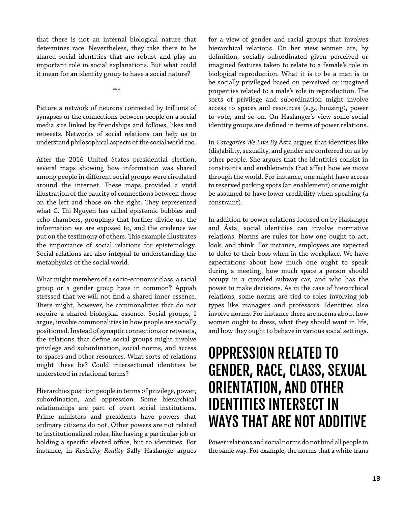that there is not an internal biological nature that determines race. Nevertheless, they take there to be shared social identities that are robust and play an important role in social explanations. But what could it mean for an identity group to have a social nature?

\*\*\*

Picture a network of neurons connected by trillions of synapses or the connections between people on a social media site linked by friendships and follows, likes and retweets. Networks of social relations can help us to understand philosophical aspects of the social world too.

After the 2016 United States presidential election, several maps showing how information was shared among people in different social groups were circulated around the internet. These maps provided a vivid illustration of the paucity of connections between those on the left and those on the right. They represented what C. Thi Nguyen has called epistemic bubbles and echo chambers, groupings that further divide us, the information we are exposed to, and the credence we put on the testimony of others. This example illustrates the importance of social relations for epistemology. Social relations are also integral to understanding the metaphysics of the social world.

What might members of a socio-economic class, a racial group or a gender group have in common? Appiah stressed that we will not find a shared inner essence. There might, however, be commonalities that do not require a shared biological essence. Social groups, I argue, involve commonalities in how people are socially positioned. Instead of synaptic connections or retweets, the relations that define social groups might involve privilege and subordination, social norms, and access to spaces and other resources. What sorts of relations might these be? Could intersectional identities be understood in relational terms?

Hierarchies position people in terms of privilege, power, subordination, and oppression. Some hierarchical relationships are part of overt social institutions. Prime ministers and presidents have powers that ordinary citizens do not. Other powers are not related to institutionalized roles, like having a particular job or holding a specific elected office, but to identities. For instance, in *Resisting Reality* Sally Haslanger argues for a view of gender and racial groups that involves hierarchical relations. On her view women are, by definition, socially subordinated given perceived or imagined features taken to relate to a female's role in biological reproduction. What it is to be a man is to be socially privileged based on perceived or imagined properties related to a male's role in reproduction. The sorts of privilege and subordination might involve access to spaces and resources (e.g., housing), power to vote, and so on. On Haslanger's view some social identity groups are defined in terms of power relations.

In *Categories We Live By* Ásta argues that identities like (dis)ability, sexuality, and gender are conferred on us by other people. She argues that the identities consist in constraints and enablements that affect how we move through the world. For instance, one might have access to reserved parking spots (an enablement) or one might be assumed to have lower credibility when speaking (a constraint).

In addition to power relations focused on by Haslanger and Ásta, social identities can involve normative relations. Norms are rules for how one ought to act, look, and think. For instance, employees are expected to defer to their boss when in the workplace. We have expectations about how much one ought to speak during a meeting, how much space a person should occupy in a crowded subway car, and who has the power to make decisions. As in the case of hierarchical relations, some norms are tied to roles involving job types like managers and professors. Identities also involve norms. For instance there are norms about how women ought to dress, what they should want in life, and how they ought to behave in various social settings.

## OPPRESSION RELATED TO GENDER, RACE, CLASS, SEXUAL ORIENTATION, AND OTHER IDENTITIES INTERSECT IN WAYS THAT ARE NOT ADDITIVE

Power relations and social norms do not bind all people in the same way. For example, the norms that a white trans